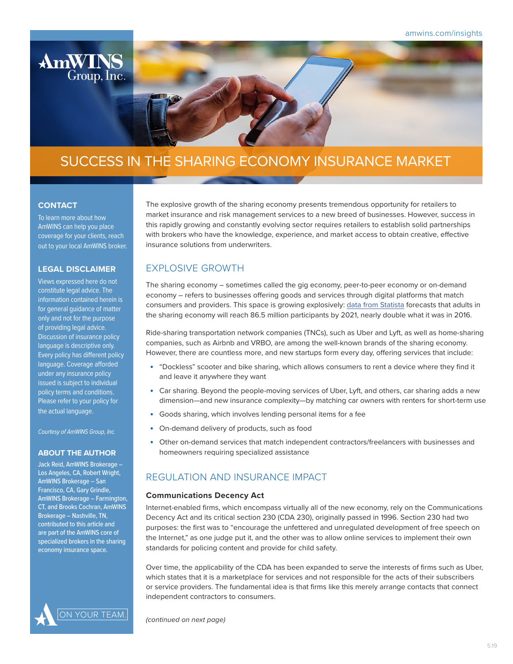

# SUCCESS IN THE SHARING ECONOMY INSURANCE MARKET

## **CONTACT**

To learn more about how AmWINS can help you place coverage for your clients, reach out to your local AmWINS broker.

## **LEGAL DISCLAIMER**

Views expressed here do not constitute legal advice. The information contained herein is for general guidance of matter only and not for the purpose of providing legal advice. Discussion of insurance policy language is descriptive only. Every policy has different policy language. Coverage afforded under any insurance policy issued is subject to individual policy terms and conditions. Please refer to your policy for the actual language.

*Courtesy of AmWINS Group, Inc.*

#### **ABOUT THE AUTHOR**

Jack Reid, AmWINS Brokerage – Los Angeles, CA, Robert Wright, AmWINS Brokerage – San Francisco, CA, Gary Grindle, AmWINS Brokerage – Farmington, CT, and Brooks Cochran, AmWINS Brokerage – Nashville, TN, contributed to this article and are part of the AmWINS core of specialized brokers in the sharing economy insurance space.



The explosive growth of the sharing economy presents tremendous opportunity for retailers to market insurance and risk management services to a new breed of businesses. However, success in this rapidly growing and constantly evolving sector requires retailers to establish solid partnerships with brokers who have the knowledge, experience, and market access to obtain creative, effective insurance solutions from underwriters.

# **EXPLOSIVE GROWTH**

The sharing economy – sometimes called the gig economy, peer-to-peer economy or on-demand economy – refers to businesses offering goods and services through digital platforms that match consumers and providers. This space is growing explosively: [data from Statista](https://www.statista.com/statistics/289856/number-sharing-economy-users-us/) forecasts that adults in the sharing economy will reach 86.5 million participants by 2021, nearly double what it was in 2016.

Ride-sharing transportation network companies (TNCs), such as Uber and Lyft, as well as home-sharing companies, such as Airbnb and VRBO, are among the well-known brands of the sharing economy. However, there are countless more, and new startups form every day, offering services that include:

- "Dockless" scooter and bike sharing, which allows consumers to rent a device where they find it and leave it anywhere they want
- Car sharing. Beyond the people-moving services of Uber, Lyft, and others, car sharing adds a new dimension—and new insurance complexity—by matching car owners with renters for short-term use
- Goods sharing, which involves lending personal items for a fee
- On-demand delivery of products, such as food
- Other on-demand services that match independent contractors/freelancers with businesses and homeowners requiring specialized assistance

# REGULATION AND INSURANCE IMPACT

### **Communications Decency Act**

Internet-enabled firms, which encompass virtually all of the new economy, rely on the Communications Decency Act and its critical section 230 (CDA 230), originally passed in 1996. Section 230 had two purposes: the first was to "encourage the unfettered and unregulated development of free speech on the Internet," as one judge put it, and the other was to allow online services to implement their own standards for policing content and provide for child safety.

Over time, the applicability of the CDA has been expanded to serve the interests of firms such as Uber, which states that it is a marketplace for services and not responsible for the acts of their subscribers or service providers. The fundamental idea is that firms like this merely arrange contacts that connect independent contractors to consumers.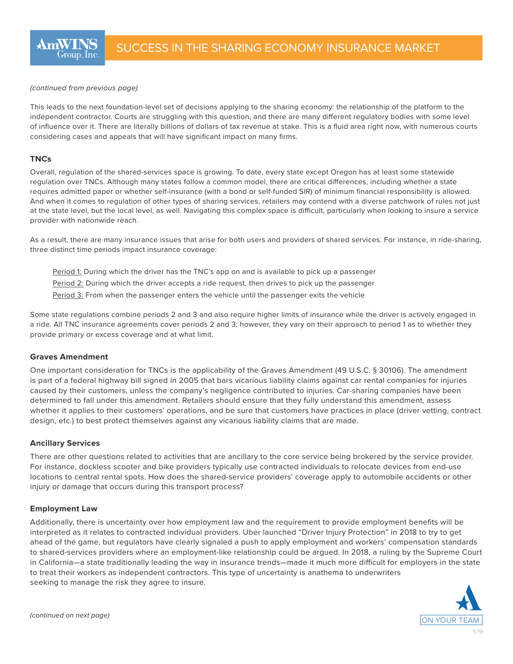#### *(continued from previous page)*

This leads to the next foundation-level set of decisions applying to the sharing economy: the relationship of the platform to the independent contractor. Courts are struggling with this question, and there are many different regulatory bodies with some level of influence over it. There are literally billions of dollars of tax revenue at stake. This is a fluid area right now, with numerous courts considering cases and appeals that will have significant impact on many firms.

### **TNCs**

Overall, regulation of the shared-services space is growing. To date, every state except Oregon has at least some statewide regulation over TNCs. Although many states follow a common model, there are critical differences, including whether a state requires admitted paper or whether self-insurance (with a bond or self-funded SIR) of minimum financial responsibility is allowed. And when it comes to regulation of other types of sharing services, retailers may contend with a diverse patchwork of rules not just at the state level, but the local level, as well. Navigating this complex space is difficult, particularly when looking to insure a service provider with nationwide reach.

As a result, there are many insurance issues that arise for both users and providers of shared services. For instance, in ride-sharing, three distinct time periods impact insurance coverage:

- Period 1: During which the driver has the TNC's app on and is available to pick up a passenger
- Period 2: During which the driver accepts a ride request, then drives to pick up the passenger
- Period 3: From when the passenger enters the vehicle until the passenger exits the vehicle

Some state regulations combine periods 2 and 3 and also require higher limits of insurance while the driver is actively engaged in a ride. All TNC insurance agreements cover periods 2 and 3; however, they vary on their approach to period 1 as to whether they provide primary or excess coverage and at what limit.

### **Graves Amendment**

One important consideration for TNCs is the applicability of the Graves Amendment (49 U.S.C. § 30106). The amendment is part of a federal highway bill signed in 2005 that bars vicarious liability claims against car rental companies for injuries caused by their customers, unless the company's negligence contributed to injuries. Car-sharing companies have been determined to fall under this amendment. Retailers should ensure that they fully understand this amendment, assess whether it applies to their customers' operations, and be sure that customers have practices in place (driver vetting, contract design, etc.) to best protect themselves against any vicarious liability claims that are made.

### **Ancillary Services**

There are other questions related to activities that are ancillary to the core service being brokered by the service provider. For instance, dockless scooter and bike providers typically use contracted individuals to relocate devices from end-use locations to central rental spots. How does the shared-service providers' coverage apply to automobile accidents or other injury or damage that occurs during this transport process?

#### **Employment Law**

Additionally, there is uncertainty over how employment law and the requirement to provide employment benefits will be interpreted as it relates to contracted individual providers. Uber launched "Driver Injury Protection" in 2018 to try to get ahead of the game, but regulators have clearly signaled a push to apply employment and workers' compensation standards to shared-services providers where an employment-like relationship could be argued. In 2018, a ruling by the Supreme Court in California—a state traditionally leading the way in insurance trends—made it much more difficult for employers in the state to treat their workers as independent contractors. This type of uncertainty is anathema to underwriters seeking to manage the risk they agree to insure.